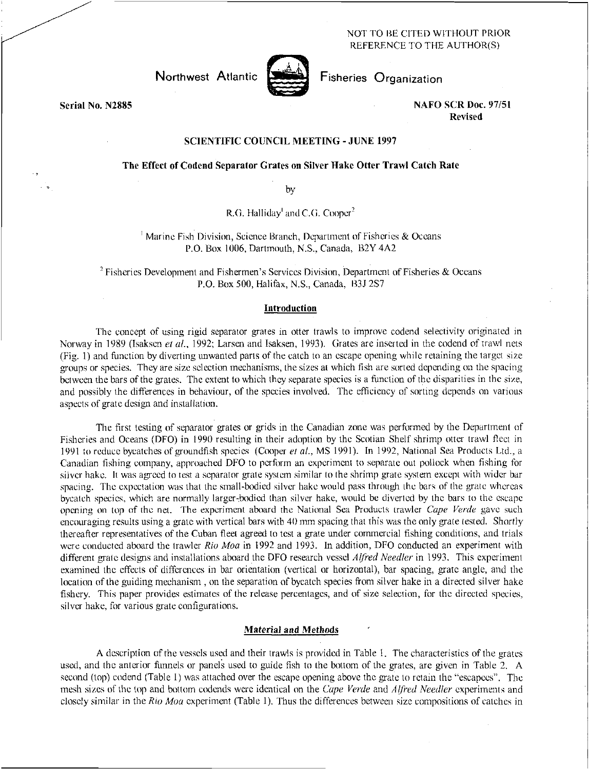## NOT TO BE CITED WITHOUT PRIOR REFERENCE TO THE AUTHOR(S)

Northwest Atlantic



Fisheries Organization

Serial No. N2885 NAFO SCR Doc. 97/51 Revised

# SCIENTIFIC COUNCIL MEETING - JUNE 1997

## The Effect of Codend Separator Grates on Silver Hake Otter Trawl Catch Rate

by

R.G. Halliday<sup>1</sup> and C.G. Cooper<sup>2</sup>

<sup>1</sup> Marine Fish Division, Science Branch, Department of Fisheries & Oceans P.O. Box 1006, Dartmouth, N.S., Canada, B2Y 4A2

 $2$  Fisheries Development and Fishermen's Services Division, Department of Fisheries & Oceans P.O. Box 500, Halifax, N.S., Canada, B3J 2S7

#### Introduction

The concept of using rigid separator grates in otter trawls to improve codend selectivity originated in Norway in 1989 (Isaksen *et al.,* 1992; Larsen and Isaksen, 1993). Grates are inserted in the codend of trawl nets (Fig. 1) and function by diverting unwanted parts of the catch to an escape opening while retaining the target size groups or species. They are size selection mechanisms, the sizes at which fish are sorted depending on the spacing between the bars of the grates. The extent to which they separate species is a function of the disparities in the size, and possibly the differences in behaviour, of the species involved. The efficiency of sorting depends on various aspects of grate design and installation.

The first testing of separator grates or grids in the Canadian zone was performed by the Department of Fisheries and Oceans (DFO) in 1990 resulting in their adoption by the Scotian Shelf shrimp otter trawl fleet in 1991 to reduce bycatches of groundfish species (Cooper *el al.,* MS 1991). In 1992, National Sea Products Ltd., a Canadian fishing company, approached DFO to perform an experiment to separate out pollock when fishing for silver hake. It was agreed to test a separator grate system similar to the shrimp grate system except with wider bar spacing. The expectation was that the small-bodied silver hake would pass through the bars of the grate whereas bycatch species, which are normally larger-bodied than silver hake, would be diverted by the bars to the escape *opening* on top of the net. The experiment aboard the National Sea Products trawler *Cape Verde* gave such encouraging results using a grate with vertical bars with 40 mm spacing that this was the only grate tested. Shortly thereafter representatives of the Cuban fleet agreed to test a grate under commercial fishing conditions, and trials were conducted aboard the trawler *Rio Moa* in 1992 and 1993. In addition, DFO conducted an experiment with different grate designs and installations aboard the DFO research vessel *Alfred Needler* in 1993. This experiment examined the effects of differences in bar orientation (vertical or horizontal), bar spacing, gate angle, and the location of the guiding mechanism , on the separation of bycatch species from silver hake in a directed silver hake fishery. This paper provides estimates of the release percentages, and of size selection, for the directed species, silver hake, for various grate configurations.

## Material *and Methods*

A description of the vessels used and their trawls is provided in Table I. The characteristics of the grates used, and the anterior funnels or panels used to guide fish to the bottom of the grates, are given in Table 2. A second (top) codend (Table 1) was attached over the escape opening above the gate to retain the "escapees". The mesh sizes of the top and bottom codends were identical on the *Cape Verde* and *Alfred Needier* experiments and closely similar in the *Rio Moa* experiment (Table 1). Thus the differences between size compositions of catches in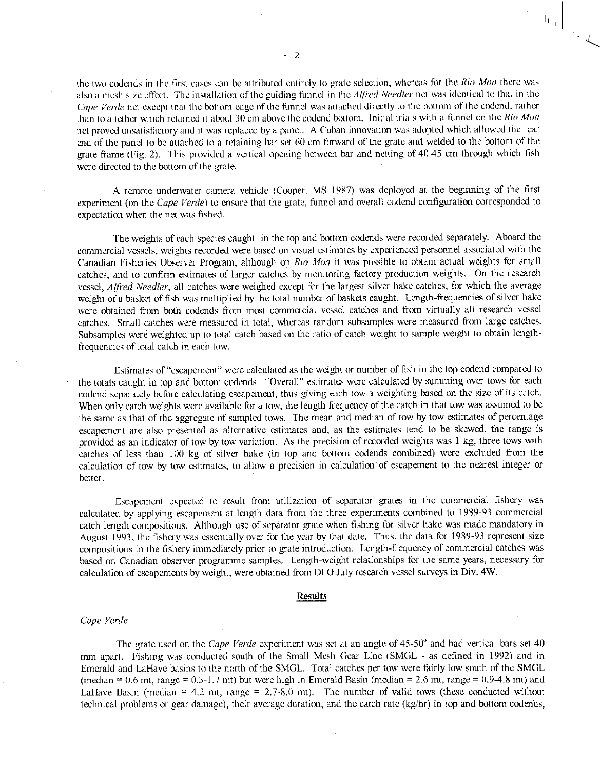the two codends in the first cases can be attributed entirely to grate selection, whereas for the *Rio Moo* there was also a mesh size effect. The installation of the guiding funnel in the *Alfred Needler* net was identical to that in the *Cape Verde* net except that the bottom edge of the funnel was attached directly to the bottom of the codend, rather than to a tether which retained it about 30 cm above the codend bottom. Initial trials with a funnel on the *Rio Moo*  net proved unsatisfactory and it was replaced by a panel. A Cuban innovation was adopted which allowed the rear end of the panel to be attached to a retaining bar set 60 cm forward of the grate and welded to the bottom of the grate frame (Fig. 2). This provided a vertical opening between bar and netting of 40-45 cm through which fish were directed to the bottom of the grate.

A remote underwater camera vehicle (Cooper, MS 1987) was deployed at the beginning of the first experiment (on the *Cape Verde)* to ensure that the grate, funnel and overall codend configuration corresponded to expectation when the net was fished.

The weights of each species caught in the top and bottom codends were recorded separately. Aboard the commercial vessels, weights recorded were based on visual estimates by experienced personnel associated with the Canadian Fisheries Observer Program, although on *Rio Moo* it was possible to obtain actual weights for small catches, and to confirm estimates of larger catches by monitoring factory production weights. On the research vessel, *Alfred Needler,* all catches were weighed except for the largest silver hake catches, for which the average weight of a basket of fish was multiplied by the total number of baskets caught. Length-frequencies of silver hake were obtained from both codends from most commercial vessel catches and from virtually all research vessel catches. Small catches were measured in total, whereas random subsamples were measured from large catches. Subsamples were weighted up to total catch based on the ratio of catch weight to sample weight to obtain lengthfrequencies of total catch in each tow.

Estimates of "escapement" were calculated as the weight or number of fish in the top codend compared to the totals caught in top and bottom codends. "Overall" estimates were calculated by summing over tows for each codend separately before calculating escapement, thus giving each tow a weighting based on the size of its catch. When only catch weights were available for a tow, the length frequency of the catch in that tow was assumed to be the same as that of the aggregate of sampled tows. The mean and median of tow by tow estimates of percentage escapement are also presented as alternative estimates and, as the estimates tend to be skewed, the range is provided as an indicator of tow by tow variation. As the precision of recorded weights was 1 kg, three tows with catches of less than 100 kg of silver hake (in top and bottom codends combined) were excluded from the calculation of tow by tow estimates, to allow a precision in calculation of escapement to the nearest integer or better.

Escapement expected to result from utilization of separator grates in the commercial fishery was calculated by applying escapement-at-length data from the three experiments combined to 1989-93 commercial catch length compositions. Although use of separator gate when fishing for silver hake was made mandatory in August 1993, the fishery was essentially over for the year by that date. Thus, the data for 1989-93 represent size compositions in the fishery immediately prior to gate introduction. Length-frequency of commercial catches was based on Canadian observer programme samples. Length-weight relationships for the same years, necessary for calculation of escapements by weight, were obtained from DFO July research vessel surveys in Div. 4W.

#### **Results**

#### *Cape Verde*

The grate used on the *Cape Verde* experiment was set at an angle of 45-50° and had vertical bars set 40 mm apart. Fishing was conducted south of the Small Mesh Gear Line (SMGL - as defined in 1992) and in Emerald and LaHave basins to the north of the SMGL. Total catches per tow were fairly low south of the SMGL (median = 0.6 mt, range = 0.3-1.7 mt) but were high in Emerald Basin (median = 2.6 mt, range = 0.9-4.8 mt) and LaHave Basin (median = 4.2 mt, range =  $2.7-8.0$  mt). The number of valid tows (these conducted without technical problems or gear damage), their average duration, and the catch rate (kg/hr) in top and bottom codends,

 $\left\| \begin{array}{c} \ast \\ \ast \end{array} \right\|_{\mathbf{L}_1} \left[ \begin{array}{c} \ast \\ \ast \end{array} \right]$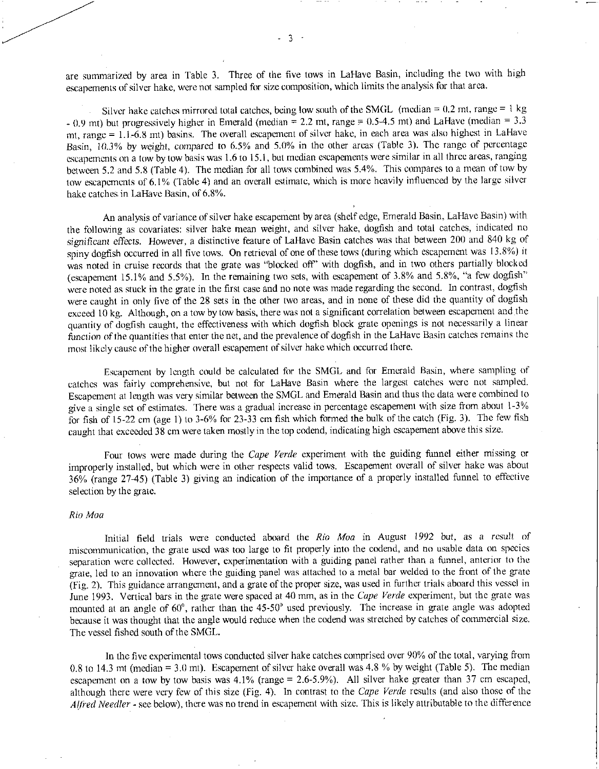are summarized by area in Table 3. Three of the five tows in LaHave Basin, including the two with high escapements of silver hake, were not sampled for size composition, which limits the analysis for that area.

Silver hake catches mirrored total catches, being low south of the SMGL (median =  $0.2$  mt, range = 1 kg  $-$  0.9 mt) but progressively higher in Emerald (median = 2.2 mt, range = 0.5-4.5 mt) and LaHave (median = 3.3 mt, range = 1.1-6.8 mt) basins. The overall escapement of silver hake, in each area was also highest in LaHave Basin, 10.3% by weight, *compared to* 6.5% and 5.0% in the other areas (Table 3). The range of percentage escapements on a tow by tow basis was 1.6 to 15.1, but median escapements were similar in all three areas, ranging between 5.2 and 5.8 (Table 4). The median for all tows combined was 5.4%. This compares to a mean of tow by tow escapements of 6.1% (Table 4) and an overall estimate, which is more heavily influenced by the large silver hake catches in LaHave Basin, of 6.8%.

An analysis of variance of silver hake escapement by area (shelf edge, Emerald Basin, LaHave Basin) with the following as covariates: silver hake mean weight, and silver hake, dogfish and total catches, indicated no *significant effects.* However, a distinctive feature of LaHave Basin catches was that between 200 and 840 kg of spiny dogfish occurred in all five tows. On retrieval of one of these tows (during which escapement was 13.8%) it was noted in cruise records that the grate was "blocked off" with dogfish, and in two others partially blocked (escapement 15.1% and 5.5%). In the remaining two sets, with escapement of 3.8% and 5.8%, "a few dogfish" were noted as stuck in the grate in the first case and no note was made regarding the second. In contrast, dogfish were caught in only five of the 28 sets in the other two areas, and in none of these did the quantity of dogfish exceed 10 kg. Although, on a tow by tow basis, there was not a significant correlation between escapement and the quantity of dogfish caught, the effectiveness with which dogfish block grate openings is not necessarily a linear *function* of the quantities that enter the net, and the prevalence of dogfish in the LaHave Basin catches remains the most likely cause of the higher overall escapement of silver hake which occurred there.

Escapement by length could be calculated for the SMGL and for Emerald Basin, where sampling of catches was fairly comprehensive, but not for LaHave Basin where the largest catches were not sampled. Escapement at length was very similar between the SMGL and Emerald Basin and thus the data were combined to give a single set of estimates. There was a gradual increase in percentage escapement with size from about 1-3% for fish of 15-22 cm (age 1) to 3-6% for 23-33 cm fish which formed the bulk of the catch (Fig. 3). The few fish caught that exceeded 38 cm were taken mostly in the top codend, indicating high escapement above this size.

Four tows were made during the *Cape Verde* experiment with the guiding funnel either missing or improperly installed, but which were in other respects valid tows. Escapement overall of silver hake was about 36% (range 27-45) (Table 3) giving an indication of the importance of a properly installed funnel to effective selection by the grate.

#### *Rio Moo*

Initial field trials were conducted aboard the *Rio Moo* in August 1992 but, as a result *of*  miscommunication, the grate used was too large to fit properly into the codend, and no usable data on species separation were collected. However, experimentation with a guiding panel rather than a funnel, anterior to the grate, led to an innovation where the guiding panel was attached to a metal bar welded to the front of the grate (Fig. 2). This guidance arrangement, and a gate of the proper size, was used in further trials aboard this vessel in June 1993. Vertical bars in the gate were spaced at 40 mm, as in the *Cape Verde* experiment, but the grate was mounted at an angle of 60° , rather than the 45-50° used previously. The increase in grate angle was adopted because it was thought that the angle would reduce when the codend was stretched by catches of commercial size. The vessel fished south of the SMGL.

In the five experimental tows conducted silver hake catches comprised over 90% of the total, varying from 0.8 to 14.3 mt (median = 3.0 mt). Escapement of silver hake overall was 4.8 % by weight (Table 5). The median escapement on a tow by tow basis was 4.1% (range = 2.6-5.9%). All silver hake greater than 37 cm escaped, although there were very few of this size (Fig. 4). In contrast to the *Cape Verde* results (and also those of the *Alfred Needier -* see below), there was no trend in escapement with size. This is likely attributable to the difference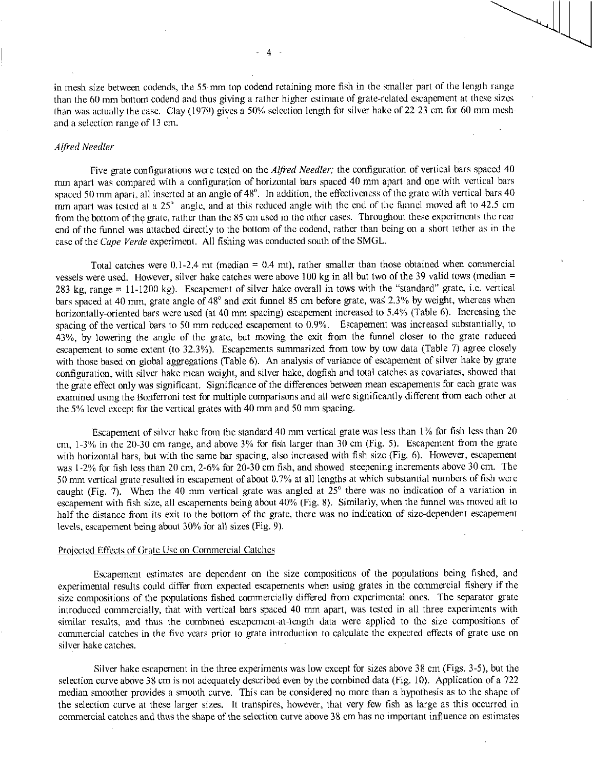in mesh size between codends, the 55-mm top codend retaining more fish in the smaller part of the length range than the 60 mm bottom codend and thus giving a rather higher estimate of grate-related escapement at these sizes than was actually the case. Clay (1979) gives a  $50\%$  selection length for silver hake of 22-23 cm for 60 mm meshand a selection range of 13 cm.

## *Alfred Needier*

Five grate configurations were tested on the *Alfred Needier;* the configuration of vertical bars spaced 40 mm apart was compared with a configuration of horizontal bars spaced 40 mm apart and one with vertical bars spaced 50 mm apart, all inserted at an angle of 48°. In addition, the effectiveness of the grate with vertical bars 40 mm apart was tested at a 25° angle, and at this reduced angle with the end of the funnel moved aft to 42.5 cm from the bottom of the grate, rather than the 85 cm used in the other cases. Throughout these experiments the rear end of the funnel was attached directly to the bottom of the codend, rather than being on a short tether as in the case of the *Cape Verde* experiment. All fishing was conducted south of the SMGL.

Total catches were  $0.1$ -2.4 mt (median =  $0.4$  mt), rather smaller than those obtained when commercial vessels were used. However, silver hake catches were above 100 kg in all but two of the 39 valid tows (median = 283 kg, range = 11-1200 kg). Escapement of silver hake overall in tows with the "standard" grate, i.e. vertical bars spaced at 40 mm, grate angle of 48° and exit funnel 85 cm before grate, was 2.3% by weight, whereas when horizontally-oriented bars were used (at 40 mm spacing) escapement increased to 5.4% (Table 6). Increasing the spacing of the vertical bars to 50 mm reduced escapement to 0.9%. Escapement was increased substantially, to 43%, by lowering the angle of the grate, but moving the exit from the funnel closer to the grate reduced escapement to some extent (to 32.3%). Escapements summarized from tow by tow data (Table 7) agree closely with those based on global aggregations (Table 6). An analysis of variance of escapement of silver hake by grate configuration, with silver hake mean weight, and silver hake, dogfish and total catches as covariates, showed that the grate effect only was significant. Significance of the differences between mean escapements for each grate was examined using the Bonferroni test for multiple comparisons and all were significantly different from each other at the 5% level except for the vertical grates with 40 mm and 50 mm spacing.

Escapement of silver hake from the standard 41) mm vertical grate was less than 1% for fish less than 20 cm, 1-3% in the 20-30 cm range, and above 3% for fish larger than 30 cm (Fig. 5). Escapement from the grate with horizontal bars, but with the same bar spacing, also increased with fish size (Fig. 6). However, escapement was 1-2% for fish less than 20 cm, 2-6% for 20-30 cm fish, and showed steepening increments above 30 cm. The 50 mm vertical grate resulted in escapement of about 0.7% at all lengths at which substantial numbers of fish were caught (Fig. 7). When the 40 mm vertical grate was angled at 25° there was no indication of a variation in escapement with fish size, all escapements being about 40% (Fig. 8). Similarly, when the funnel was moved aft to half the distance from its exit to the bottom of the grate, there was no indication of size-dependent escapement levels, escapement being about 30% for all sizes (Fig. 9).

#### Projected Effects of (irate Use on Commercial Catches

Escapement estimates are dependent on the size compositions of the populations being fished, and experimental results could differ from expected escapements when using grates in the commercial fishery if the size compositions of the populations fished commercially differed from experimental ones. The separator grate introduced commercially, that with vertical bars spaced 40 mm apart, was tested in all three experiments with similar results, and thus the combined escapement-at-length data were applied to the size compositions of commercial catches in the five years prior to grate introduction to calculate the expected effects of grate use on silver hake catches.

Silver hake escapement in the three experiments was low except for sizes above 38 cm (Figs. 3-5), but the selection curve above 38 cm is not adequately described even by the combined data (Fig. 10). Application of a 722 median smoother provides a smooth curve. This can be considered no more than a hypothesis as to the shape of the selection curve at these larger sizes. It transpires, however, that very few fish as large as this occurred in commercial catches and thus the shape of the selection curve above 38 cm has no important influence on estimates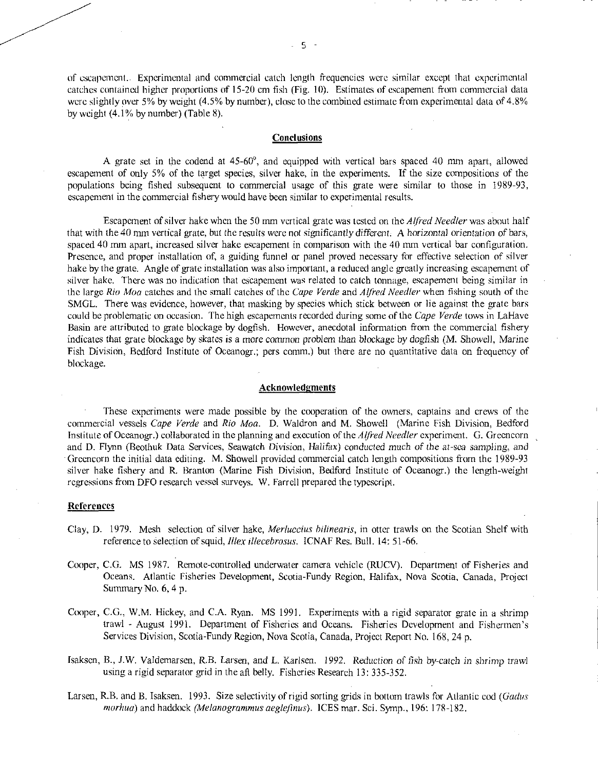of escapement.. Experimental and commercial catch length frequencies were similar except that experimental catches contained higher proportions of 15-20 cm fish (Fig. 10). Estimates of escapement from commercial data were slightly over 5% by weight (4.5% by number), close to the combined estimate from experimental data of 4.8% by weight (4.1% by number) (Table 8).

# **Conclusions**

A grate set in the codend at 45-60°, and equipped with vertical bars spaced 40 mm apart, allowed escapement of only 5% of the target species, silver hake, in the experiments. If the size compositions of the populations being fished subsequent to commercial usage of this grate were similar to those in 1989-93, escapement in the commercial fishery would have been similar to experimental results.

Escapement of silver hake when the 50 mm vertical grate was tested on the *Alfred Needier* was about half that with the 40 mm vertical grate, but the results were not significantly *different.* A *horizontal* orientation of bars, spaced 40 mm apart, increased silver hake escapement in comparison with the 40 mm vertical bar configuration. Presence, and proper installation of, a guiding funnel or panel proved necessary for effective selection of silver hake by the grate. Angle of grate installation was also important, a reduced angle greatly increasing escapement of silver hake. There was no indication that escapement was related to catch tonnage, escapement being similar in the large *Rio Moo* catches and the small catches of the *Cape Verde* and *Alfred Needier* when fishing south of the SMGL. There was evidence, however, that masking by species which stick between or lie against the grate bars could be problematic on occasion. The high escapements recorded during some of the *Cape Verde* tows in LaHave Basin are attributed to grate blockage by dogfish. However, anecdotal information from the commercial fishery indicates that gate blockage by skates is a more *common problem* than blockage by dogfish (M. Showell, Marine Fish Division, Bedford Institute of Oceanogr.; pers comm.) but there are no quantitative data on frequency of blockage.

## Acknowledgments

These experiments were made possible by the cooperation of the owners, captains and crews of the commercial vessels *Cape Verde* and *Rio Maa.* D. Waldron and M. Showell (Marine Fish Division, Bedford Institute of Oceanogr.) collaborated in the planning and execution of the *Alfred Needier* experiment. G. Greencorn and D. Flynn (Beothuk Data Services, Seawatch Division, Halifax) conducted *much of* the *at-sea* sampling, and Greencorn the initial data editing. M. Showell provided commercial catch length compositions from the 1989-93 silver hake fishery and R. Branton (Marine Fish Division, Bedford Institute of Oceanogr.) the length-weight regressions from DFO research vessel surveys. W. Farrell prepared the typescript.

## **References**

- Clay, D. 1979. Mesh selection of silver hake, *Merluccius bilinearis*, in otter trawls on the Scotian Shelf with reference to Selection of *squid, Illex illecebrosus.* ICNAF Res. Bull. 14: 51-66.
- Cooper, C.G. MS 1987. Remote-controlled underwater camera vehicle (RUCV). Department of Fisheries and Oceans. Atlantic Fisheries Development, Scotia-Fundy Region, Halifax, Nova Scotia, Canada, Project Summary No. 6, 4 p.
- Cooper, C.G., W.M. Hickey, and C.A. Ryan. MS 1991. Experiments with a rigid separator grate in a shrimp trawl - August 1991. Department of Fisheries and Oceans. Fisheries Development and Fishermen's Services Division, Scotia-Fundy Region, Nova Scotia, Canada, Project Report No. 168, 24 p.
- Isaksen, B., J.W. Valdemarsen, R.B. Larsen, and L. Karlsen. *1992. Reduction of* fish by-catch in shrimp *trawl*  using a rigid separator grid in the aft belly. Fisheries Research 13: 335-352.
- Larsen, R.B. and B. Isaksen. 1993. Size selectivity of rigid sorting grids in bottom trawls for Atlantic cod *(Gadus morhua*) and haddock *(Melanogrammus aeglefinus).* ICES mar. Sci. Symp., 196: 178-182.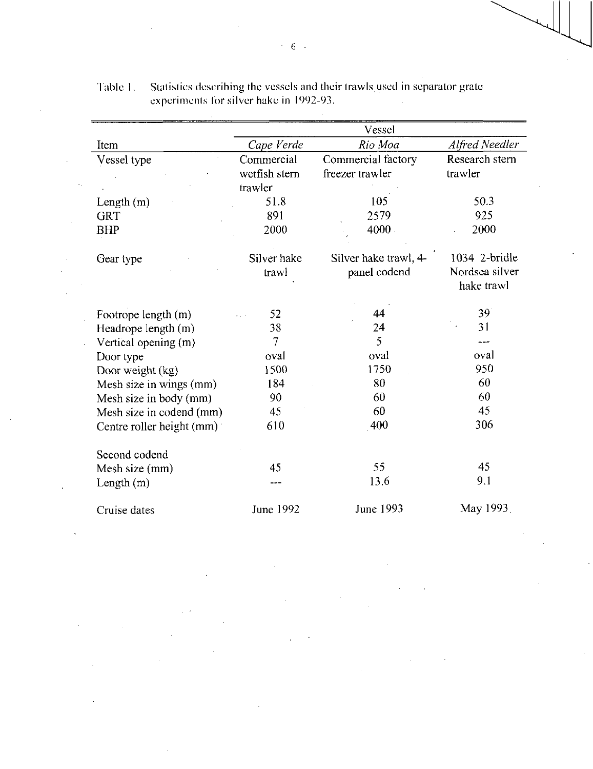|                           | Vessel        |                       |                |  |  |  |
|---------------------------|---------------|-----------------------|----------------|--|--|--|
| Item                      | Cape Verde    | Rio Moa               | Alfred Needler |  |  |  |
| Vessel type               | Commercial    | Commercial factory    | Research stern |  |  |  |
|                           | wetfish stern | freezer trawler       | trawler        |  |  |  |
|                           | trawler       |                       |                |  |  |  |
| Length $(m)$              | 51.8          | 105                   | 50.3           |  |  |  |
| <b>GRT</b>                | 891           | 2579                  | 925            |  |  |  |
| <b>BHP</b>                | 2000          | 4000                  | 2000           |  |  |  |
|                           |               |                       |                |  |  |  |
| Gear type                 | Silver hake   | Silver hake trawl, 4- | 1034 2-bridle  |  |  |  |
|                           | trawl         | panel codend          | Nordsea silver |  |  |  |
|                           |               |                       | hake trawl     |  |  |  |
|                           |               |                       |                |  |  |  |
| Footrope length (m)       | 52            | 44                    | 39             |  |  |  |
| Headrope length (m)       | 38            | 24                    | 31             |  |  |  |
| Vertical opening (m)      | 7             | 5                     |                |  |  |  |
| Door type                 | oval          | oval                  | oval           |  |  |  |
| Door weight (kg)          | 1500          | 1750                  | 950            |  |  |  |
| Mesh size in wings (mm)   | 184           | 80                    | 60             |  |  |  |
| Mesh size in body (mm)    | 90            | 60                    | 60             |  |  |  |
| Mesh size in codend (mm)  | 45            | 60                    | 45             |  |  |  |
| Centre roller height (mm) | 610           | 400                   | 306            |  |  |  |
|                           |               |                       |                |  |  |  |
| Second codend             |               |                       |                |  |  |  |
| Mesh size (mm)            | 45            | 55                    | 45             |  |  |  |
| Length $(m)$              |               | 13.6                  | 9.1            |  |  |  |
|                           |               |                       |                |  |  |  |
| Cruise dates              | June 1992     | June 1993             | May 1993.      |  |  |  |

Table I. Statistics describing the vessels and their trawls used in separator grate experiments for silver hake in 1992-93.  $\hat{\mathcal{A}}$ 

 $\blacksquare$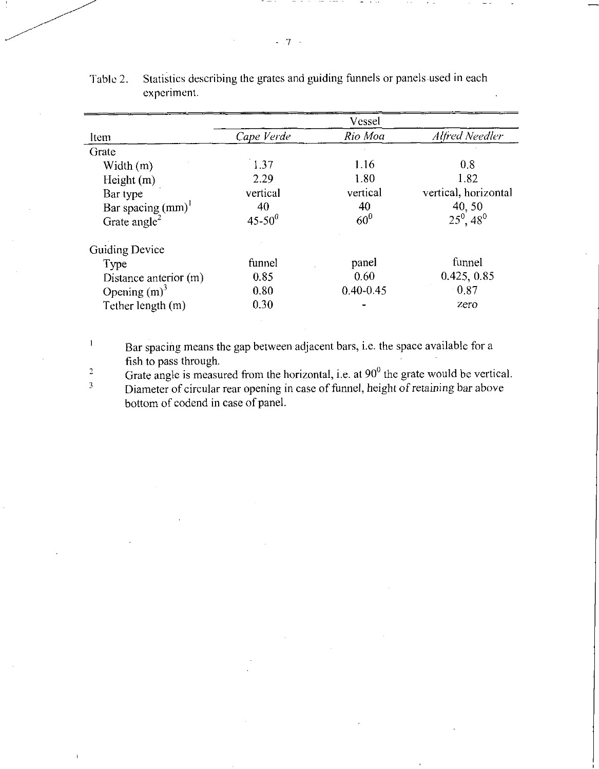|                          |               | Vessel        |                                |
|--------------------------|---------------|---------------|--------------------------------|
| Item                     | Cape Verde    | Rio Moa       | Alfred Needler                 |
| Grate                    |               |               |                                |
| Width $(m)$              | 1.37          | 1.16          | 0.8                            |
| Height $(m)$             | 2.29          | 1.80          | 1.82                           |
| Bar type                 | vertical      | vertical      | vertical, horizontal           |
| Bar spacing $(mm)^{1}$   | 40            | 40            | 40,50                          |
| Grate angle <sup>2</sup> | $45 - 50^{0}$ | $60^0$        | $25^{\circ}$ , 48 <sup>0</sup> |
| <b>Guiding Device</b>    |               |               |                                |
| Type                     | funnel        | panel         | funnel                         |
| Distance anterior (m)    | 0.85          | 0.60          | 0.425, 0.85                    |
| Opening $(m)^3$          | 0.80          | $0.40 - 0.45$ | $-0.87$                        |
| Tether length (m)        | 0.30          |               | zero                           |

Table 2. Statistics describing the grates and guiding funnels or panels used in each experiment.

Bar spacing means the gap between adjacent bars, i.e. the space available for a fish to pass through.

 $\mathbf{l}$ 

Grate angle is measured from the horizontal, i.e. at  $90^0$  the grate would be vertical. Diameter of circular rear opening in case of funnel, height of retaining bar above bottom of codend in case of panel. 2 3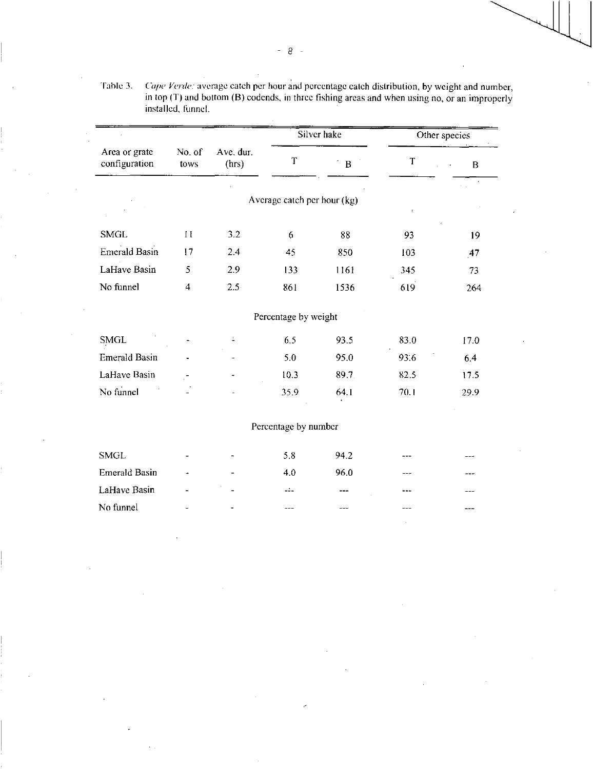|                                |                |                    | Silver hake                 |             |      | Other species |
|--------------------------------|----------------|--------------------|-----------------------------|-------------|------|---------------|
| Area or grate<br>configuration | No. of<br>tows | Ave. dur.<br>(hrs) | $\mathsf{T}$                | $\mathbf B$ | T    | $\bf{B}$      |
|                                |                |                    |                             |             |      |               |
|                                |                |                    | Average catch per hour (kg) |             |      |               |
| <b>SMGL</b>                    | $\mathbf{H}$   | 3.2                | 6                           | 88          | 93   | 19            |
| <b>Emerald Basin</b>           | 17             | 2.4                | 45                          | 850         | 103  | 47            |
| LaHave Basin                   | 5              | 2.9                | 133                         | 1161        | 345  | 73            |
| No funnel                      | $\overline{4}$ | $2.5^{\circ}$      | 861                         | 1536        | 619  | 264           |
|                                |                |                    | Percentage by weight        |             |      |               |
| <b>SMGL</b>                    |                | $\mathbb{E}$       | 6.5                         | 93.5        | 83.0 | 17.0          |
| <b>Emerald Basin</b>           |                |                    | 5.0                         | 95.0        | 93.6 | 6.4           |
| LaHave Basin                   |                |                    | 10.3                        | 89.7.       | 82.5 | 17.5          |
| No funnel                      |                |                    | 35.9                        | 64.1        | 70.1 | 29.9          |
|                                |                |                    | Percentage by number        |             |      |               |
| <b>SMGL</b>                    |                |                    | 5.8                         | 94.2        |      |               |
| <b>Emerald Basin</b>           |                |                    | 4.0                         | 96.0        |      |               |
| LaHave Basin                   |                |                    | لدكت                        |             |      |               |
| No funnel                      |                |                    |                             |             |      |               |

Table 3. *Cape Verde:* average catch per hour and percentage catch distribution, by weight and number, in top (T) and bottom (B) codends, in three fishing areas and when using no, or an improperly installed, funnel.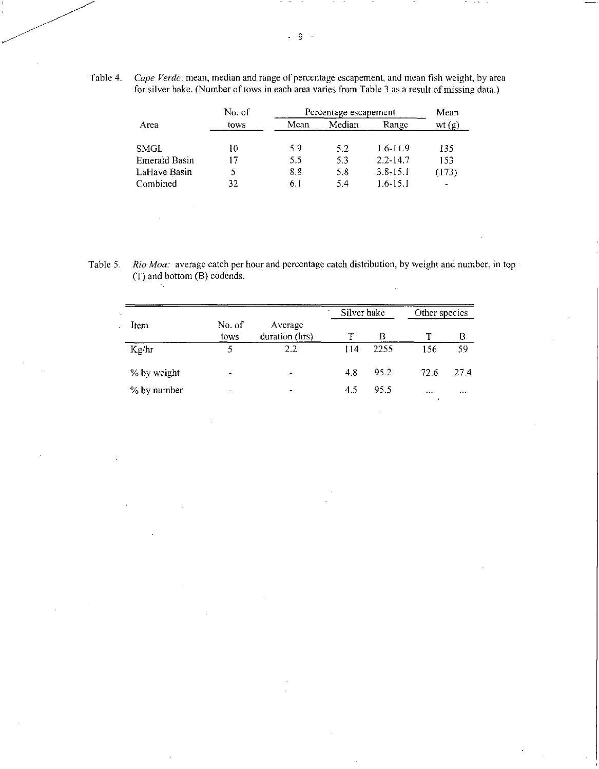Table 4. *Cape Verde:* mean, median and range of percentage escapement, and mean fish weight, by area for silver hake. (Number of tows in each area varies from Table 3 as a result of missing data.)

|               | No of | Percentage escapement | Mean   |              |       |
|---------------|-------|-----------------------|--------|--------------|-------|
| Area          | tows  | Mean                  | Median | Range        | wt(g) |
| SMGL          | 10    | 59                    | 5.2    | $1.6 - 11.9$ | 135   |
| Emerald Basin | 17    | 5.5                   | 5.3    | $2.2 - 14.7$ | 153   |
| LaHave Basin  |       | 8.8                   | 5.8    | $3.8 - 15.1$ | (173) |
| Combined      | 32    | 6. I                  | 5.4    | $1.6 - 15.1$ |       |

Table 5. *Rio Mau:* average catch per hour and percentage catch distribution, by weight and number. in top (T) and bottom (B) codends.

 $\sim$ 

|             |                          |                           | Silver hake |      | Other species |      |
|-------------|--------------------------|---------------------------|-------------|------|---------------|------|
| Item        | No. of<br>tows           | Average<br>duration (hrs) |             | В    |               | В    |
| Kg/hr       | 5                        | 2.2                       | 114         | 2255 | 156           | 59   |
| % by weight | $\overline{\phantom{a}}$ | -                         | 4.8         | 95.2 | 72.6          | 27.4 |
| % by number | -                        | $\blacksquare$            | 4.5         | 95.5 | $\cdots$      |      |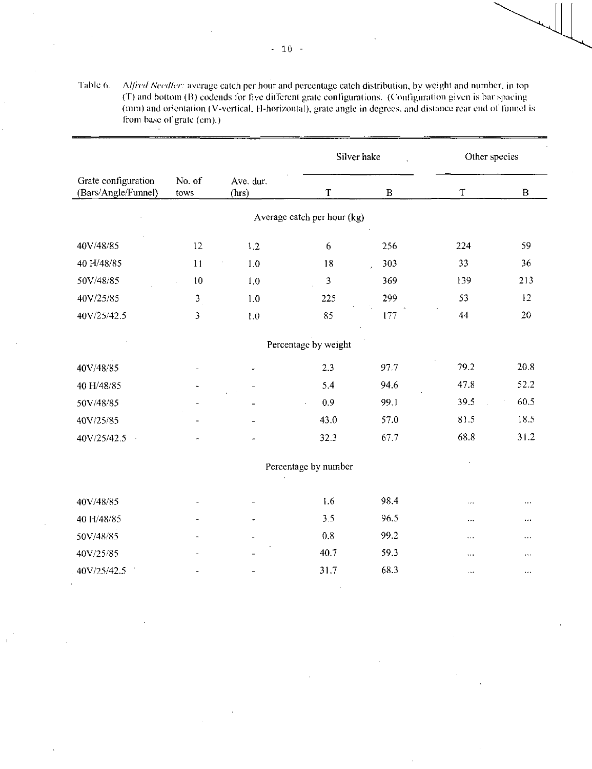Table 6. *A//red Needier:* average catch per hour and percentage catch distribution, by weight and number, in top (T) and bottom (13) codends lbr five different grate configurations. (Configuration given is bar spacing (mm) and orientation ( V-vertical, 11-horizontal), grate angle in degrees, and distance rear end of funnel is from base of grate (cm).)

|                                            |                |                    | Silver hake                 |              | Other species |              |
|--------------------------------------------|----------------|--------------------|-----------------------------|--------------|---------------|--------------|
| Grate configuration<br>(Bars/Angle/Funnel) | No. of<br>tows | Ave. dur.<br>(hrs) | $\mathbf T$                 | $\, {\bf B}$ | $\mathbf T$   | $\, {\bf B}$ |
|                                            |                |                    | Average catch per hour (kg) |              |               |              |
| 40V/48/85                                  | 12             | 1.2                | $\boldsymbol{6}$            | 256          | 224           | 59           |
| 40 H/48/85                                 | 11             | $1.0$              | 18                          | 303<br>ä.    | 33            | 36           |
| 50V/48/85                                  | 10             | 1.0                | 3                           | 369          | 139           | 213          |
| 40V/25/85                                  | $\mathfrak{Z}$ | 1.0                | 225                         | 299          | 53            | 12           |
| 40V/25/42.5                                | $\mathfrak{Z}$ | 1.0                | 85                          | 177          | 44            | 20           |
|                                            |                |                    | Percentage by weight        |              |               |              |
| 40V/48/85                                  |                |                    | 2.3                         | 97.7         | 79.2          | 20.8         |
| 40 H/48/85                                 |                |                    | 5.4                         | 94.6         | 47.8          | 52.2         |
| 50V/48/85                                  |                |                    | 0.9<br>$\hat{\mathbf{r}}$   | 99 1         | 39.5          | 60.5         |
| 40V/25/85                                  |                |                    | 43.0                        | 57.0         | 81.5          | 18.5         |
| 40V/25/42.5                                |                |                    | 32.3                        | 67.7         | 68.8          | 31.2         |
|                                            |                |                    | Percentage by number        |              |               |              |
| 40V/48/85                                  |                |                    | 1.6                         | 98.4         | $\ddotsc$     |              |
| 40 H/48/85                                 |                |                    | 3.5                         | 96.5         | $\ldots$      | $\cdots$     |
| 50V/48/85                                  |                |                    | 0.8                         | 99.2         | $\cdots$      | $\cdots$     |
| 40V/25/85                                  |                |                    | 40.7                        | 59.3         | $\cdots$      | $\ldots$     |
| 40V/25/42.5                                |                |                    | 31.7                        | 68.3         | $\ddotsc$     | $\cdots$     |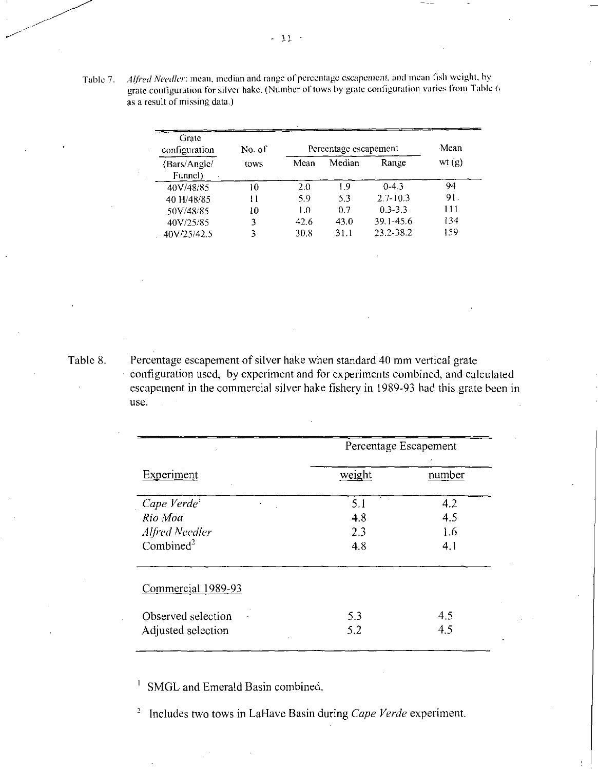Table 7 *Alfred Needier:* mean, median and range of percentage *escapement,* and mean fish weight, by grate configuration for silver hake. (Number of tows by grate configuration varies from Table 6 as a result of missing data.)

| Grate<br>configuration  | No. of |      | Percentage escapement |               | Mean  |
|-------------------------|--------|------|-----------------------|---------------|-------|
| (Bars/Angle/<br>Funnel) | tows   | Mean | Median                | Range         | wt(g) |
| 40V/48/85               | 10     | 2.0  | 1 Q                   | $0-4.3$       | 94    |
| 40 H/48/85              | 11     | 5.9  | 53                    | $2.7 - 10.3$  | 91.   |
| 50V/48/85               | 10     | 1.0  | 0.7                   | $0.3 - 3.3$   | 111   |
| 40V/25/85               |        | 42.6 | 43.0                  | $39.1 - 45.6$ | 134   |
| 40V/25/42.5             |        | 30.8 | 31.1                  | 23.2-38.2     | 159   |

Table 8. Percentage escapement of silver hake when standard 40 mm vertical grate configuration used, by experiment and for experiments combined, and calculated escapement in the commercial silver hake fishery in 1989-93 had this grate been in use.

|                                                                | Percentage Escapement    |                          |  |
|----------------------------------------------------------------|--------------------------|--------------------------|--|
| Experiment                                                     | weight                   | number                   |  |
| Cape Verde<br>Rio Moa<br>Alfred Needler<br>Combined $2$        | 5.1<br>4.8<br>2.3<br>4.8 | 4.2<br>4.5<br>1.6<br>4.1 |  |
| Commercial 1989-93<br>Observed selection<br>Adjusted selection | 5.3<br>5.2               | 4.5<br>4.5               |  |

 $\frac{1}{1}$  SMGL and Emerald Basin combined.

<sup>2</sup> Includes two tows in LaHave Basin during *Cape Verde* experiment.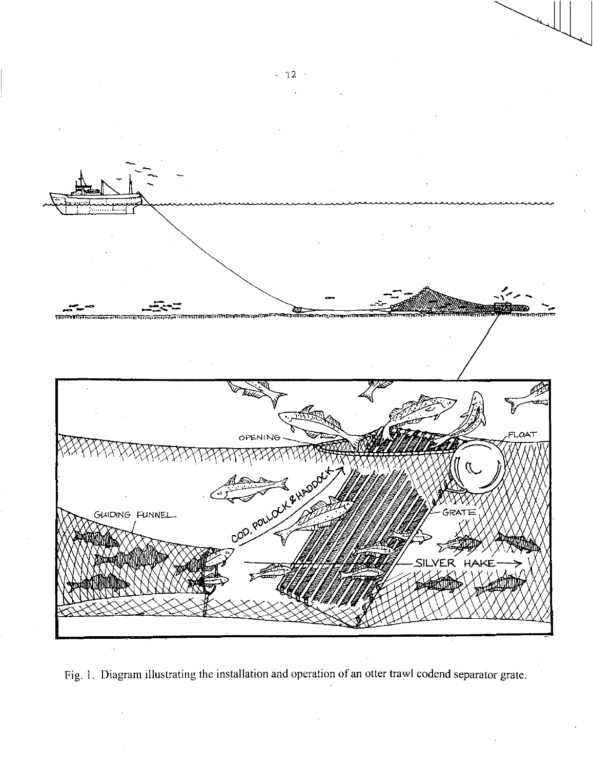

Fig. 1. Diagram illustrating the installation and operation of an otter trawl codend separator grate.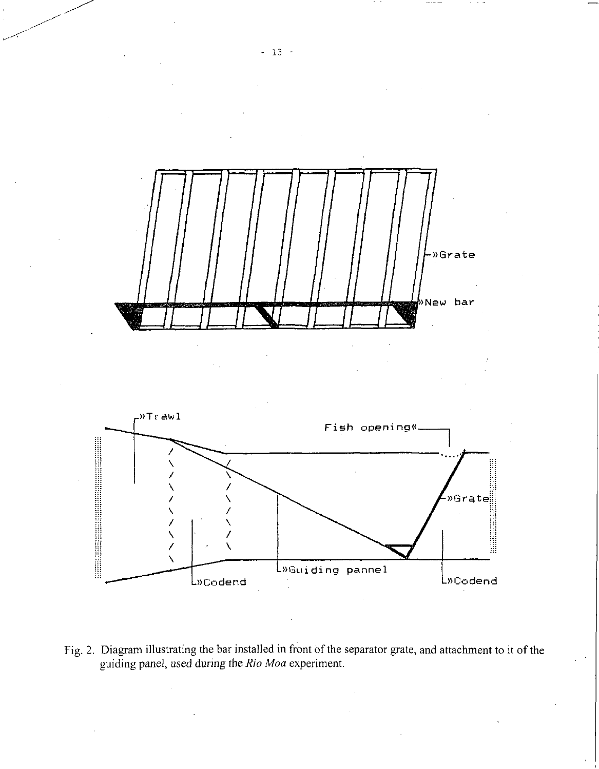

Fig. 2. Diagram illustrating the bar installed in front of the separator grate, and attachment to it of the guiding panel, *used* during the *Rio Moa* experiment.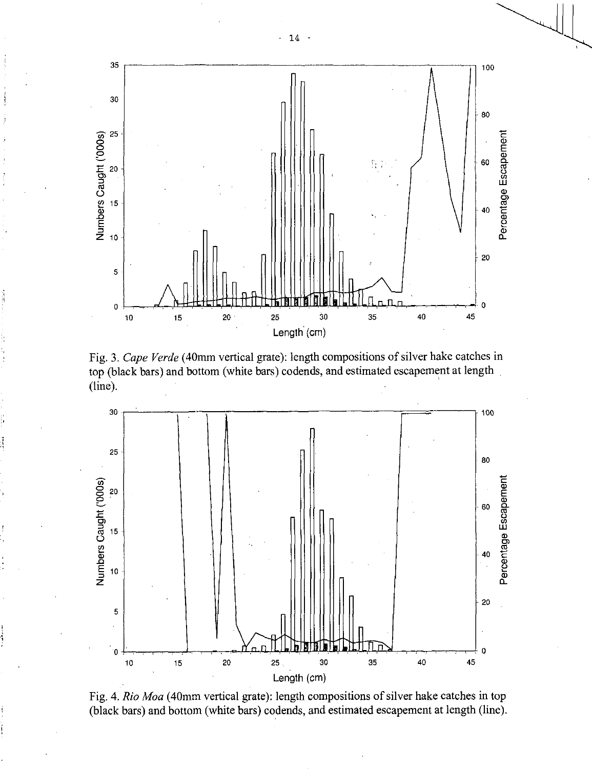

Fig. 3. *Cape Verde* (40mm vertical grate): length compositions of silver hake catches in top (black bars) and bottom (white bars) codends, and estimated escapement at length (line).



Fig. 4. *Rio Moa* (40mm vertical grate): length compositions of silver hake catches in top (black bars) and bottom (white bars) codends, and estimated escapement at length (line).

- 14 -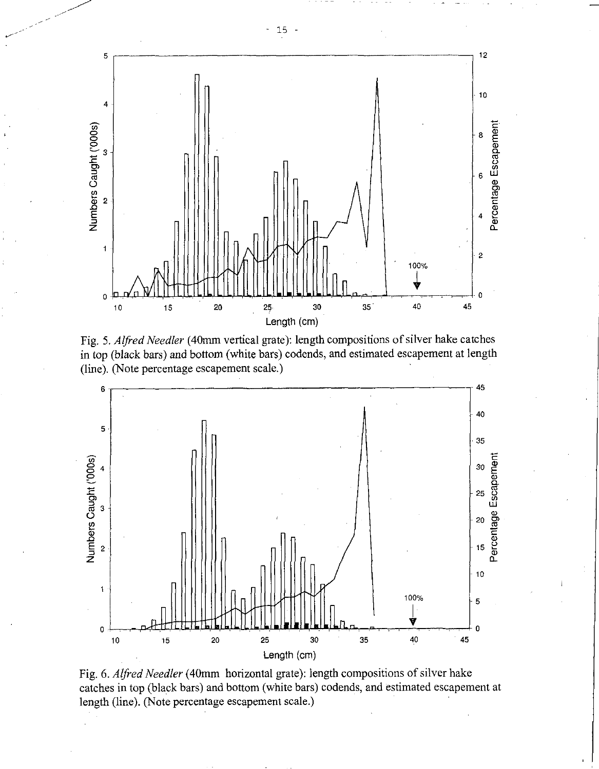

Fig. 5. *Alfred Needler* (40mm vertical grate): length compositions of silver hake catches in top (black bars) and bottom (white bars) codends, and estimated escapement at length (line). (Note percentage escapement scale.)



Fig. *6. Alfred Needler* (40mm horizontal grate): length compositions of silver hake catches in top (black bars) and bottom (white bars) codends, and estimated escapement at length (line). (Note percentage escapement scale.)

— 15 —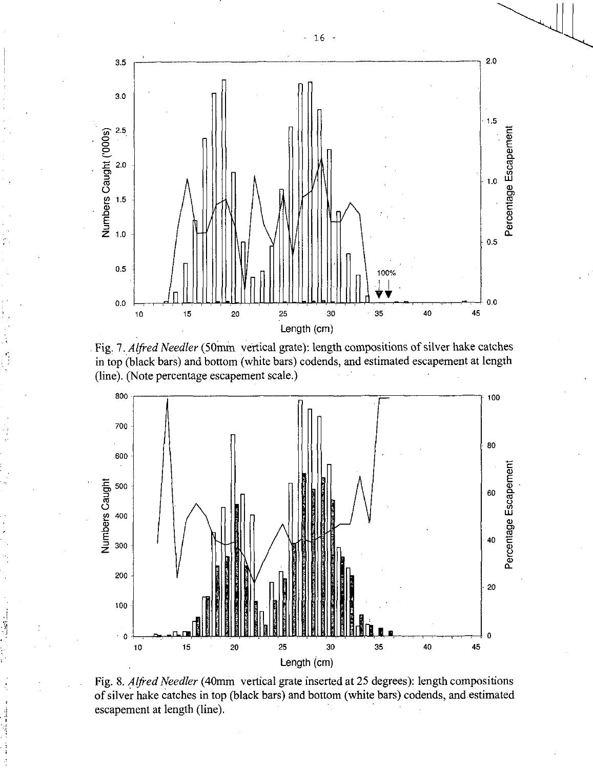





Fig. 8. *Alfred Needler* (40mm vertical grate inserted at 25 degrees): length compositions of silver hake catches in top (black bars) and bottom (white bars) codends, and estimated escapement at length (line).

- 16 -